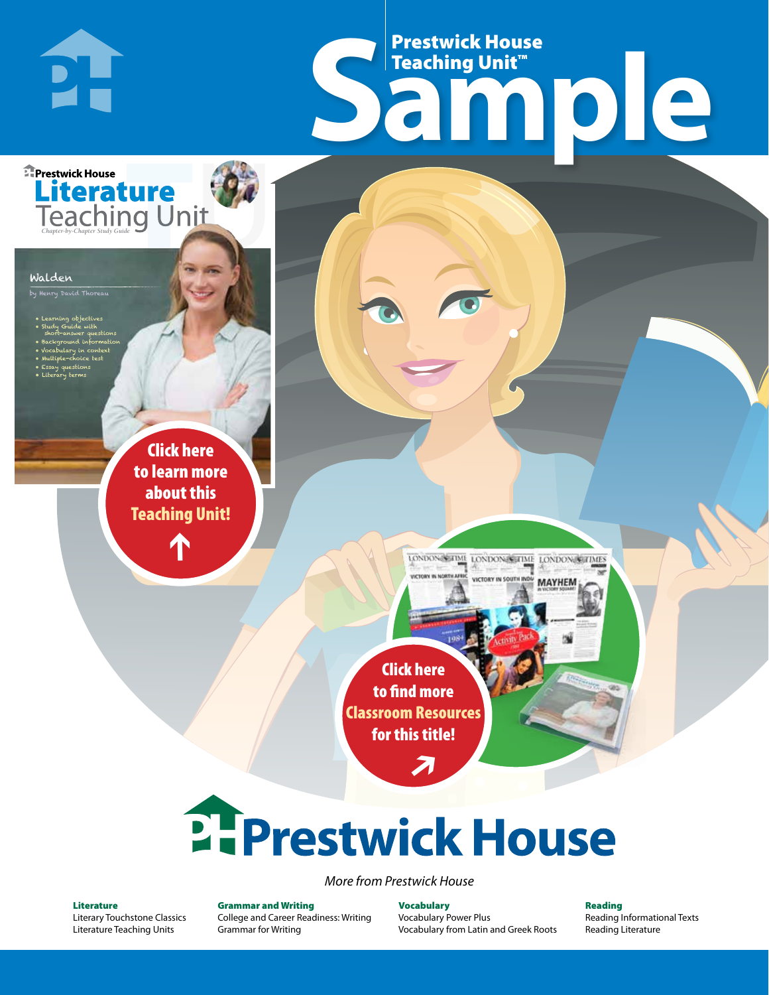# Frestwick House<br>
Sample **Prestwick House**<br>Teaching Unit™ Teaching Unit™

LONDON-SCITME LONDON/SCITME LONDON/SCITMES

MAYHEM

**Literature** 

**A Tale of Two Cities**

#### Walden

by Henry David Thoreau

**E** Prestwick House

**PH** 

- Learning objectives • Study Guide with short-answer questions • Background information
- Vocabulary in context

CHARLES DICKENS

- Multiple-choice test • Essay questions
- Literary terms

r e o r d e r n o . x x x x x x Click here to learn more about this [Teaching Unit!](https://www.prestwickhouse.com/book/id-301205/Walden_-_Teaching_Unit)

 $\mathbf{T}$ 

1

Click here to find more [Classroom Resources](http://teaching-english.prestwickhouse.com/search?w=walden)  for this title!

 $\overline{\boldsymbol{\lambda}}$ 

# **2. Prestwick House**

#### *More from Prestwick House*

#### Literature

[Literary Touchstone Classics](https://www.prestwickhouse.com/literary-touchstone-classics) [Literature Teaching Units](https://www.prestwickhouse.com/teaching-units)

Grammar and Writing [College and Career Readiness: Writing](https://www.prestwickhouse.com/college-and-career-readiness-writing) [Grammar for Writing](https://www.prestwickhouse.com/book/id-302639/Grammar_for_Writing_-_30_Books_and_Teachers_Edition)

**Vocabulary** [Vocabulary Power Plus](https://www.prestwickhouse.com/vocabulary-power-plus-for-college-and-career-readiness) [Vocabulary from Latin and Greek Roots](https://www.prestwickhouse.com/vocabulary-from-latin-and-greek-roots) Reading

[Reading Informational Texts](https://www.prestwickhouse.com/reading-informational-texts) [Reading Literature](https://www.prestwickhouse.com/reading-literature)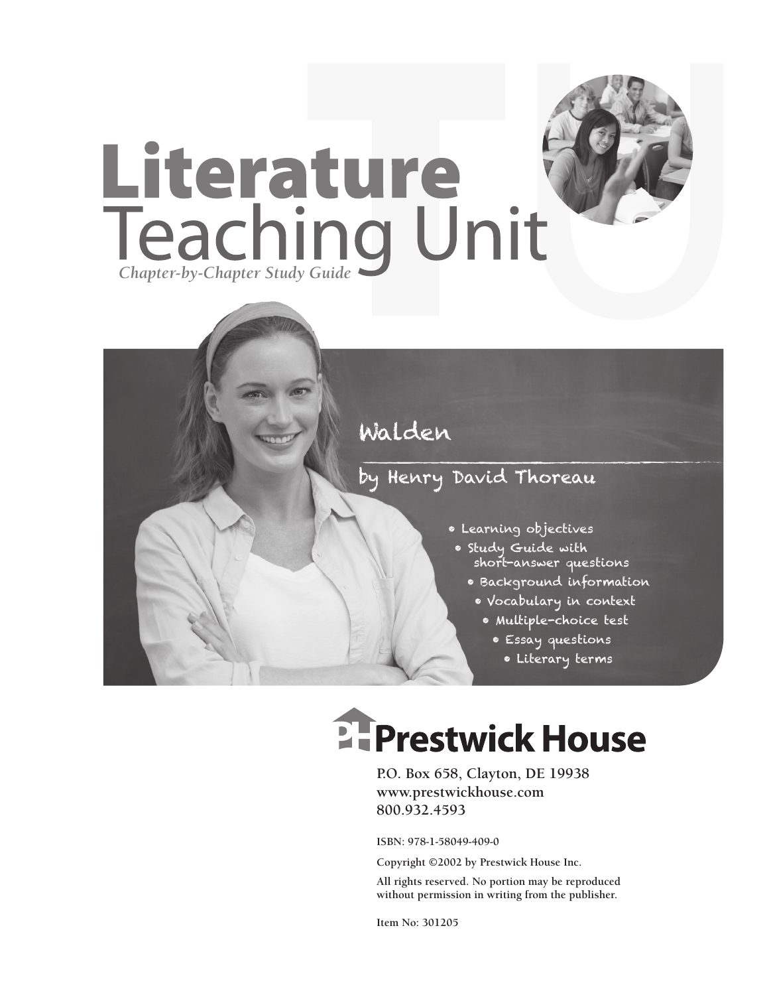

### by Henry David Thoreau

- Learning objectives
- Study Guide with short-answer questions
	- Background information
	- Vocabulary in context
		- Multiple-choice test
			- Essay questions
				- Literary terms

# **EFPrestwick House**

**P.O. Box 658, Clayton, DE 19938 www.prestwickhouse.com 800.932.4593**

**ISBN: 978-1-58049-409-0**

**Copyright ©2002 by Prestwick House Inc.**

**All rights reserved. No portion may be reproduced without permission in writing from the publisher.** 

**Item No: 301205**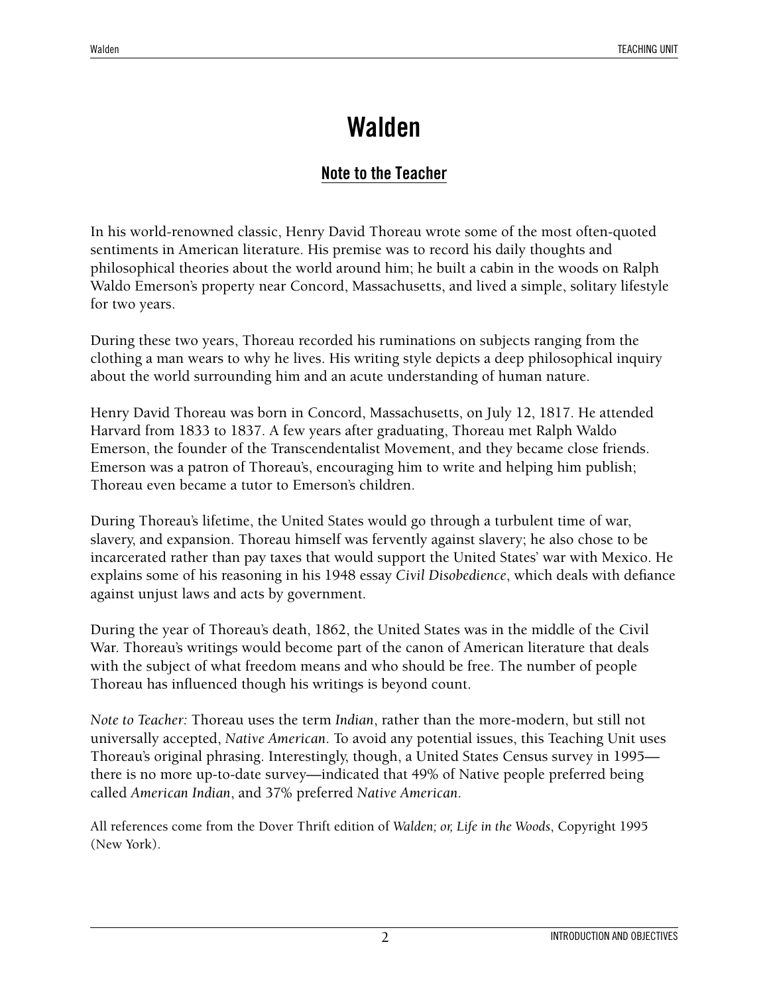#### **Note to the Teacher**

In his world-renowned classic, Henry David Thoreau wrote some of the most often-quoted sentiments in American literature. His premise was to record his daily thoughts and philosophical theories about the world around him; he built a cabin in the woods on Ralph Waldo Emerson's property near Concord, Massachusetts, and lived a simple, solitary lifestyle for two years.

During these two years, Thoreau recorded his ruminations on subjects ranging from the clothing a man wears to why he lives. His writing style depicts a deep philosophical inquiry about the world surrounding him and an acute understanding of human nature.

Henry David Thoreau was born in Concord, Massachusetts, on July 12, 1817. He attended Harvard from 1833 to 1837. A few years after graduating, Thoreau met Ralph Waldo Emerson, the founder of the Transcendentalist Movement, and they became close friends. Emerson was a patron of Thoreau's, encouraging him to write and helping him publish; Thoreau even became a tutor to Emerson's children.

During Thoreau's lifetime, the United States would go through a turbulent time of war, slavery, and expansion. Thoreau himself was fervently against slavery; he also chose to be incarcerated rather than pay taxes that would support the United States' war with Mexico. He explains some of his reasoning in his 1948 essay *Civil Disobedience*, which deals with defiance against unjust laws and acts by government.

During the year of Thoreau's death, 1862, the United States was in the middle of the Civil War. Thoreau's writings would become part of the canon of American literature that deals with the subject of what freedom means and who should be free. The number of people Thoreau has influenced though his writings is beyond count.

*Note to Teacher:* Thoreau uses the term *Indian*, rather than the more-modern, but still not universally accepted, *Native American*. To avoid any potential issues, this Teaching Unit uses Thoreau's original phrasing. Interestingly, though, a United States Census survey in 1995 there is no more up-to-date survey—indicated that 49% of Native people preferred being called *American Indian*, and 37% preferred *Native American*.

All references come from the Dover Thrift edition of *Walden; or, Life in the Woods*, Copyright 1995 (New York).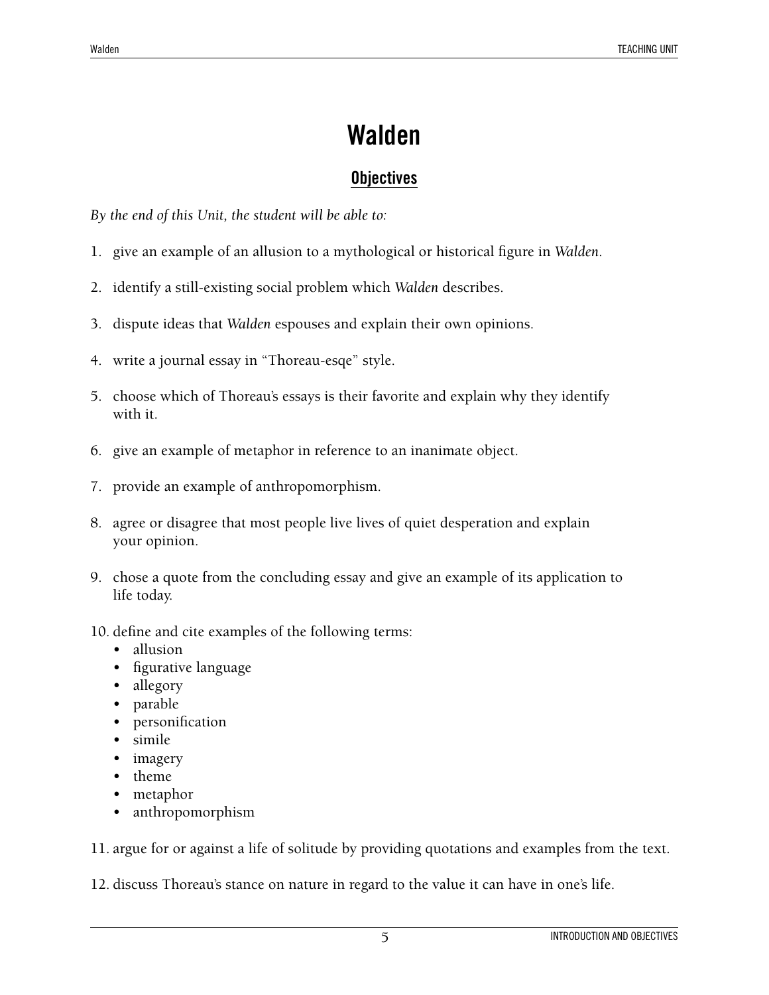#### **Objectives**

*By the end of this Unit, the student will be able to:*

- 1. give an example of an allusion to a mythological or historical figure in *Walden*.
- 2. identify a still-existing social problem which *Walden* describes.
- 3. dispute ideas that *Walden* espouses and explain their own opinions.
- 4. write a journal essay in "Thoreau-esqe" style.
- 5. choose which of Thoreau's essays is their favorite and explain why they identify with it.
- 6. give an example of metaphor in reference to an inanimate object.
- 7. provide an example of anthropomorphism.
- 8. agree or disagree that most people live lives of quiet desperation and explain your opinion.
- 9. chose a quote from the concluding essay and give an example of its application to life today.
- 10. define and cite examples of the following terms:
	- allusion
	- figurative language
	- allegory
	- parable
	- personification
	- simile
	- imagery
	- theme
	- metaphor
	- anthropomorphism

11. argue for or against a life of solitude by providing quotations and examples from the text.

12. discuss Thoreau's stance on nature in regard to the value it can have in one's life.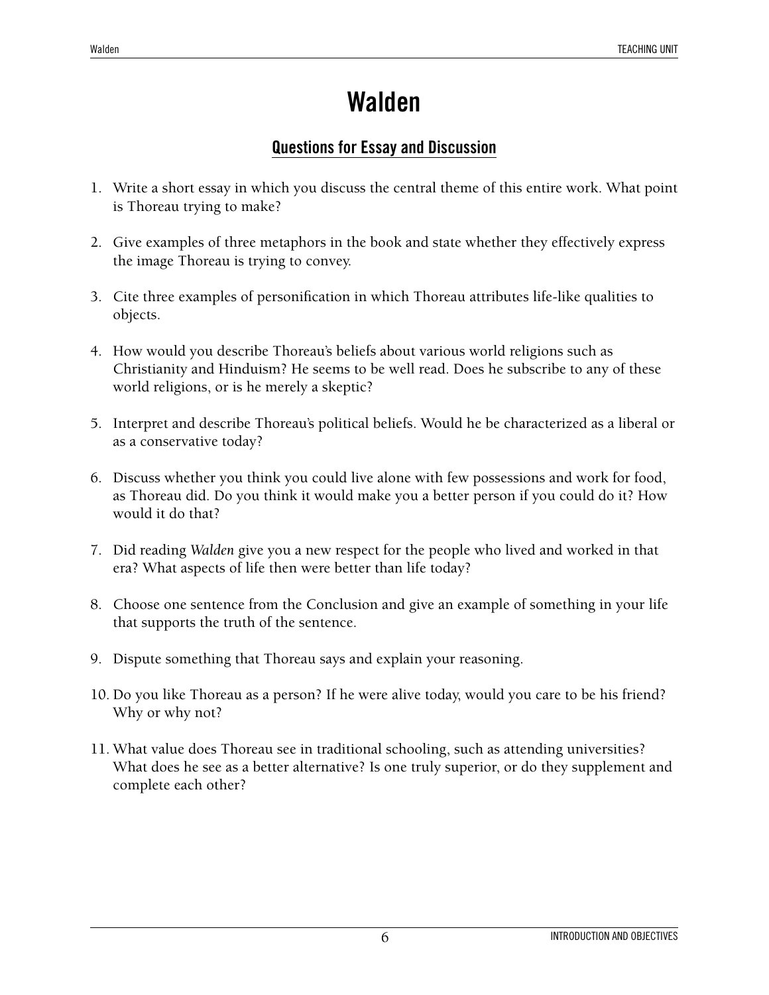#### **Questions for Essay and Discussion**

- 1. Write a short essay in which you discuss the central theme of this entire work. What point is Thoreau trying to make?
- 2. Give examples of three metaphors in the book and state whether they effectively express the image Thoreau is trying to convey.
- 3. Cite three examples of personification in which Thoreau attributes life-like qualities to objects.
- 4. How would you describe Thoreau's beliefs about various world religions such as Christianity and Hinduism? He seems to be well read. Does he subscribe to any of these world religions, or is he merely a skeptic?
- 5. Interpret and describe Thoreau's political beliefs. Would he be characterized as a liberal or as a conservative today?
- 6. Discuss whether you think you could live alone with few possessions and work for food, as Thoreau did. Do you think it would make you a better person if you could do it? How would it do that?
- 7. Did reading *Walden* give you a new respect for the people who lived and worked in that era? What aspects of life then were better than life today?
- 8. Choose one sentence from the Conclusion and give an example of something in your life that supports the truth of the sentence.
- 9. Dispute something that Thoreau says and explain your reasoning.
- 10. Do you like Thoreau as a person? If he were alive today, would you care to be his friend? Why or why not?
- 11. What value does Thoreau see in traditional schooling, such as attending universities? What does he see as a better alternative? Is one truly superior, or do they supplement and complete each other?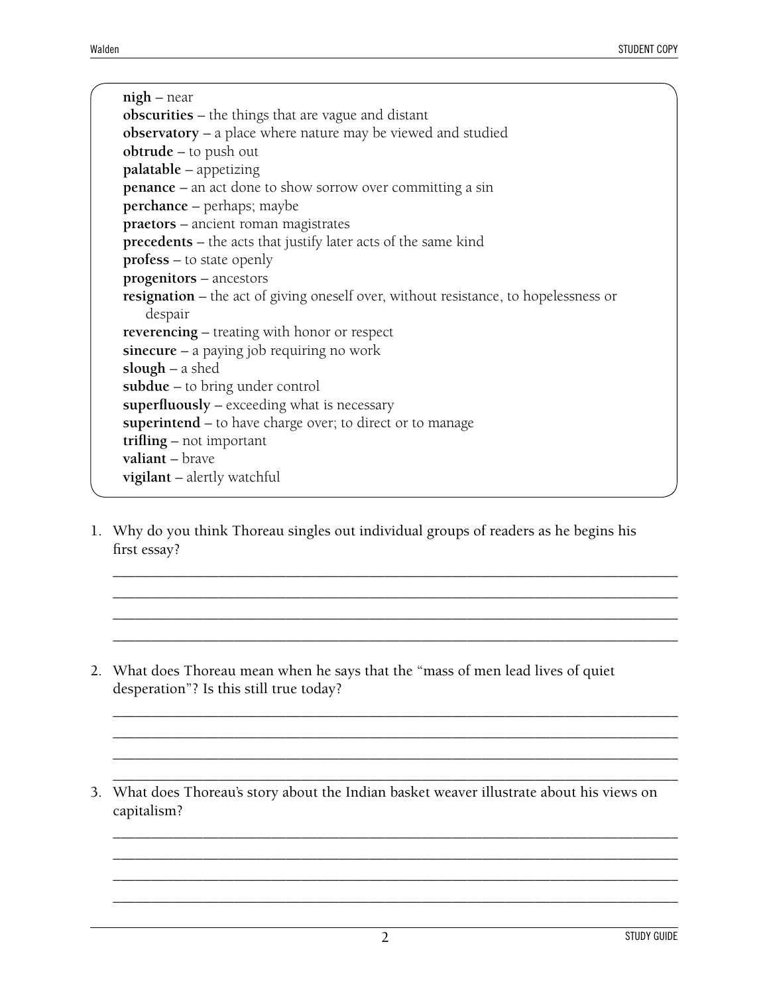**nigh** – near **obscurities** – the things that are vague and distant **observatory** – a place where nature may be viewed and studied **obtrude** – to push out **palatable** – appetizing **penance** – an act done to show sorrow over committing a sin **perchance** – perhaps; maybe **praetors** – ancient roman magistrates **precedents** – the acts that justify later acts of the same kind **profess** – to state openly **progenitors** – ancestors **resignation** – the act of giving oneself over, without resistance, to hopelessness or despair **reverencing** – treating with honor or respect **sinecure** – a paying job requiring no work **slough** – a shed **subdue** – to bring under control **superfluously** – exceeding what is necessary **superintend** – to have charge over; to direct or to manage **trifling** – not important **valiant** – brave **vigilant** – alertly watchful

1. Why do you think Thoreau singles out individual groups of readers as he begins his first essay?

\_\_\_\_\_\_\_\_\_\_\_\_\_\_\_\_\_\_\_\_\_\_\_\_\_\_\_\_\_\_\_\_\_\_\_\_\_\_\_\_\_\_\_\_\_\_\_\_\_\_\_\_\_\_\_\_\_\_\_\_\_\_\_\_\_\_\_\_\_\_\_\_\_\_\_ \_\_\_\_\_\_\_\_\_\_\_\_\_\_\_\_\_\_\_\_\_\_\_\_\_\_\_\_\_\_\_\_\_\_\_\_\_\_\_\_\_\_\_\_\_\_\_\_\_\_\_\_\_\_\_\_\_\_\_\_\_\_\_\_\_\_\_\_\_\_\_\_\_\_\_ \_\_\_\_\_\_\_\_\_\_\_\_\_\_\_\_\_\_\_\_\_\_\_\_\_\_\_\_\_\_\_\_\_\_\_\_\_\_\_\_\_\_\_\_\_\_\_\_\_\_\_\_\_\_\_\_\_\_\_\_\_\_\_\_\_\_\_\_\_\_\_\_\_\_\_ \_\_\_\_\_\_\_\_\_\_\_\_\_\_\_\_\_\_\_\_\_\_\_\_\_\_\_\_\_\_\_\_\_\_\_\_\_\_\_\_\_\_\_\_\_\_\_\_\_\_\_\_\_\_\_\_\_\_\_\_\_\_\_\_\_\_\_\_\_\_\_\_\_\_\_

\_\_\_\_\_\_\_\_\_\_\_\_\_\_\_\_\_\_\_\_\_\_\_\_\_\_\_\_\_\_\_\_\_\_\_\_\_\_\_\_\_\_\_\_\_\_\_\_\_\_\_\_\_\_\_\_\_\_\_\_\_\_\_\_\_\_\_\_\_\_\_\_\_\_\_ \_\_\_\_\_\_\_\_\_\_\_\_\_\_\_\_\_\_\_\_\_\_\_\_\_\_\_\_\_\_\_\_\_\_\_\_\_\_\_\_\_\_\_\_\_\_\_\_\_\_\_\_\_\_\_\_\_\_\_\_\_\_\_\_\_\_\_\_\_\_\_\_\_\_\_ \_\_\_\_\_\_\_\_\_\_\_\_\_\_\_\_\_\_\_\_\_\_\_\_\_\_\_\_\_\_\_\_\_\_\_\_\_\_\_\_\_\_\_\_\_\_\_\_\_\_\_\_\_\_\_\_\_\_\_\_\_\_\_\_\_\_\_\_\_\_\_\_\_\_\_ \_\_\_\_\_\_\_\_\_\_\_\_\_\_\_\_\_\_\_\_\_\_\_\_\_\_\_\_\_\_\_\_\_\_\_\_\_\_\_\_\_\_\_\_\_\_\_\_\_\_\_\_\_\_\_\_\_\_\_\_\_\_\_\_\_\_\_\_\_\_\_\_\_\_\_

\_\_\_\_\_\_\_\_\_\_\_\_\_\_\_\_\_\_\_\_\_\_\_\_\_\_\_\_\_\_\_\_\_\_\_\_\_\_\_\_\_\_\_\_\_\_\_\_\_\_\_\_\_\_\_\_\_\_\_\_\_\_\_\_\_\_\_\_\_\_\_\_\_\_\_ \_\_\_\_\_\_\_\_\_\_\_\_\_\_\_\_\_\_\_\_\_\_\_\_\_\_\_\_\_\_\_\_\_\_\_\_\_\_\_\_\_\_\_\_\_\_\_\_\_\_\_\_\_\_\_\_\_\_\_\_\_\_\_\_\_\_\_\_\_\_\_\_\_\_\_ \_\_\_\_\_\_\_\_\_\_\_\_\_\_\_\_\_\_\_\_\_\_\_\_\_\_\_\_\_\_\_\_\_\_\_\_\_\_\_\_\_\_\_\_\_\_\_\_\_\_\_\_\_\_\_\_\_\_\_\_\_\_\_\_\_\_\_\_\_\_\_\_\_\_\_ \_\_\_\_\_\_\_\_\_\_\_\_\_\_\_\_\_\_\_\_\_\_\_\_\_\_\_\_\_\_\_\_\_\_\_\_\_\_\_\_\_\_\_\_\_\_\_\_\_\_\_\_\_\_\_\_\_\_\_\_\_\_\_\_\_\_\_\_\_\_\_\_\_\_\_

- 2. What does Thoreau mean when he says that the "mass of men lead lives of quiet desperation"? Is this still true today?
- 3. What does Thoreau's story about the Indian basket weaver illustrate about his views on capitalism?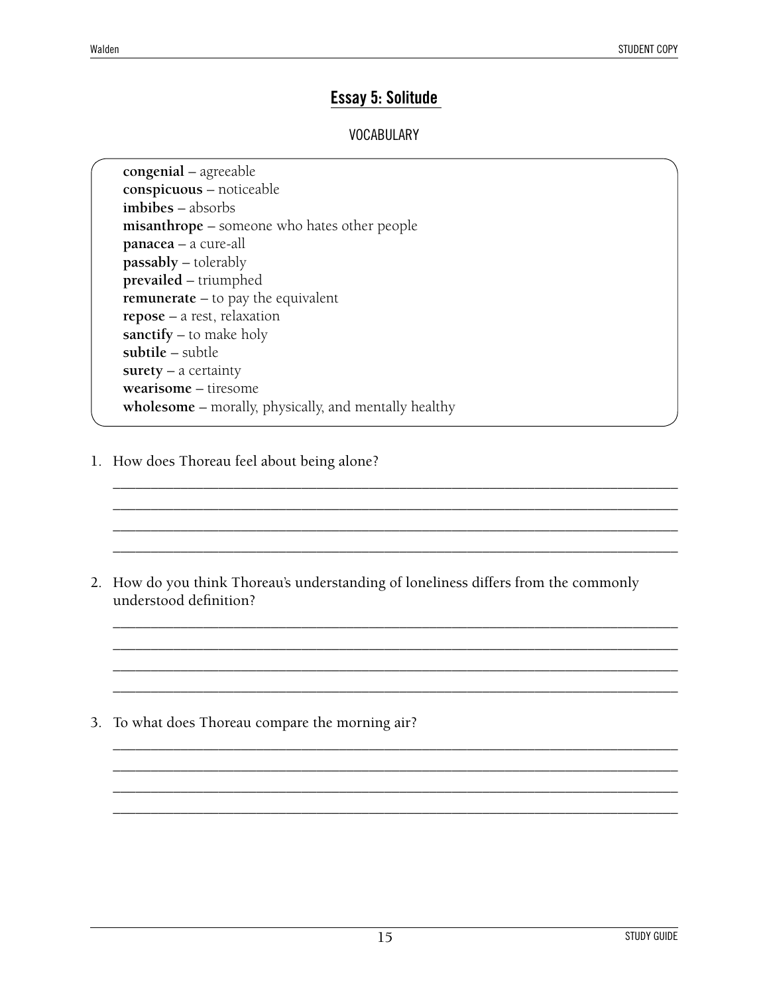#### **Essay 5: Solitude**

#### VOCABULARY

**congenial** – agreeable **conspicuous** – noticeable **imbibes** – absorbs **misanthrope** – someone who hates other people **panacea** – a cure-all **passably** – tolerably **prevailed** – triumphed **remunerate** – to pay the equivalent **repose** – a rest, relaxation **sanctify** – to make holy **subtile** – subtle **surety** – a certainty **wearisome** – tiresome **wholesome** – morally, physically, and mentally healthy

1. How does Thoreau feel about being alone?

2. How do you think Thoreau's understanding of loneliness differs from the commonly understood definition?

\_\_\_\_\_\_\_\_\_\_\_\_\_\_\_\_\_\_\_\_\_\_\_\_\_\_\_\_\_\_\_\_\_\_\_\_\_\_\_\_\_\_\_\_\_\_\_\_\_\_\_\_\_\_\_\_\_\_\_\_\_\_\_\_\_\_\_\_\_\_\_\_\_\_\_ \_\_\_\_\_\_\_\_\_\_\_\_\_\_\_\_\_\_\_\_\_\_\_\_\_\_\_\_\_\_\_\_\_\_\_\_\_\_\_\_\_\_\_\_\_\_\_\_\_\_\_\_\_\_\_\_\_\_\_\_\_\_\_\_\_\_\_\_\_\_\_\_\_\_\_ \_\_\_\_\_\_\_\_\_\_\_\_\_\_\_\_\_\_\_\_\_\_\_\_\_\_\_\_\_\_\_\_\_\_\_\_\_\_\_\_\_\_\_\_\_\_\_\_\_\_\_\_\_\_\_\_\_\_\_\_\_\_\_\_\_\_\_\_\_\_\_\_\_\_\_ \_\_\_\_\_\_\_\_\_\_\_\_\_\_\_\_\_\_\_\_\_\_\_\_\_\_\_\_\_\_\_\_\_\_\_\_\_\_\_\_\_\_\_\_\_\_\_\_\_\_\_\_\_\_\_\_\_\_\_\_\_\_\_\_\_\_\_\_\_\_\_\_\_\_\_

\_\_\_\_\_\_\_\_\_\_\_\_\_\_\_\_\_\_\_\_\_\_\_\_\_\_\_\_\_\_\_\_\_\_\_\_\_\_\_\_\_\_\_\_\_\_\_\_\_\_\_\_\_\_\_\_\_\_\_\_\_\_\_\_\_\_\_\_\_\_\_\_\_\_\_ \_\_\_\_\_\_\_\_\_\_\_\_\_\_\_\_\_\_\_\_\_\_\_\_\_\_\_\_\_\_\_\_\_\_\_\_\_\_\_\_\_\_\_\_\_\_\_\_\_\_\_\_\_\_\_\_\_\_\_\_\_\_\_\_\_\_\_\_\_\_\_\_\_\_\_ \_\_\_\_\_\_\_\_\_\_\_\_\_\_\_\_\_\_\_\_\_\_\_\_\_\_\_\_\_\_\_\_\_\_\_\_\_\_\_\_\_\_\_\_\_\_\_\_\_\_\_\_\_\_\_\_\_\_\_\_\_\_\_\_\_\_\_\_\_\_\_\_\_\_\_ \_\_\_\_\_\_\_\_\_\_\_\_\_\_\_\_\_\_\_\_\_\_\_\_\_\_\_\_\_\_\_\_\_\_\_\_\_\_\_\_\_\_\_\_\_\_\_\_\_\_\_\_\_\_\_\_\_\_\_\_\_\_\_\_\_\_\_\_\_\_\_\_\_\_\_

\_\_\_\_\_\_\_\_\_\_\_\_\_\_\_\_\_\_\_\_\_\_\_\_\_\_\_\_\_\_\_\_\_\_\_\_\_\_\_\_\_\_\_\_\_\_\_\_\_\_\_\_\_\_\_\_\_\_\_\_\_\_\_\_\_\_\_\_\_\_\_\_\_\_\_ \_\_\_\_\_\_\_\_\_\_\_\_\_\_\_\_\_\_\_\_\_\_\_\_\_\_\_\_\_\_\_\_\_\_\_\_\_\_\_\_\_\_\_\_\_\_\_\_\_\_\_\_\_\_\_\_\_\_\_\_\_\_\_\_\_\_\_\_\_\_\_\_\_\_\_ \_\_\_\_\_\_\_\_\_\_\_\_\_\_\_\_\_\_\_\_\_\_\_\_\_\_\_\_\_\_\_\_\_\_\_\_\_\_\_\_\_\_\_\_\_\_\_\_\_\_\_\_\_\_\_\_\_\_\_\_\_\_\_\_\_\_\_\_\_\_\_\_\_\_\_ \_\_\_\_\_\_\_\_\_\_\_\_\_\_\_\_\_\_\_\_\_\_\_\_\_\_\_\_\_\_\_\_\_\_\_\_\_\_\_\_\_\_\_\_\_\_\_\_\_\_\_\_\_\_\_\_\_\_\_\_\_\_\_\_\_\_\_\_\_\_\_\_\_\_\_

3. To what does Thoreau compare the morning air?